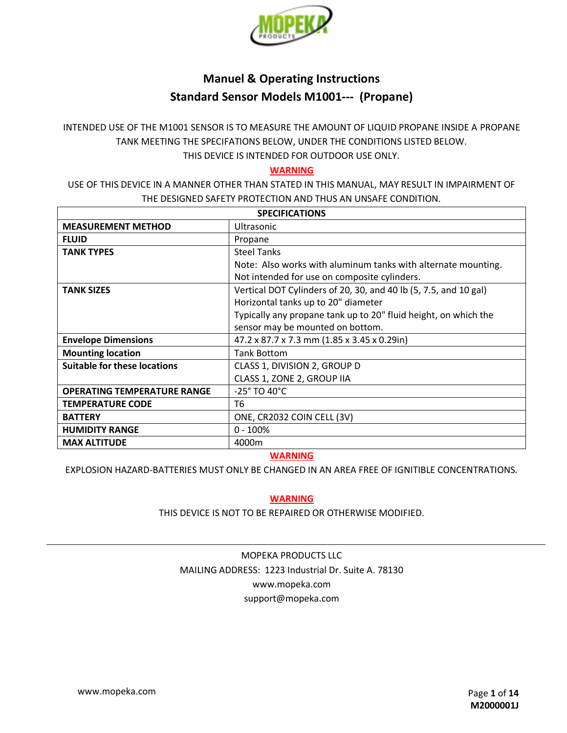

# **Manuel & Operating Instructions Standard Sensor Models M1001--- (Propane)**

INTENDED USE OF THE M1001 SENSOR IS TO MEASURE THE AMOUNT OF LIQUID PROPANE INSIDE A PROPANE TANK MEETING THE SPECIFATIONS BELOW, UNDER THE CONDITIONS LISTED BELOW. THIS DEVICE IS INTENDED FOR OUTDOOR USE ONLY.

#### **WARNING**

USE OF THIS DEVICE IN A MANNER OTHER THAN STATED IN THIS MANUAL, MAY RESULT IN IMPAIRMENT OF THE DESIGNED SAFETY PROTECTION AND THUS AN UNSAFE CONDITION.

| <b>SPECIFICATIONS</b>               |                                                                  |  |
|-------------------------------------|------------------------------------------------------------------|--|
| <b>MEASUREMENT METHOD</b>           | <b>Ultrasonic</b>                                                |  |
| <b>FLUID</b>                        | Propane                                                          |  |
| <b>TANK TYPES</b>                   | <b>Steel Tanks</b>                                               |  |
|                                     | Note: Also works with aluminum tanks with alternate mounting.    |  |
|                                     | Not intended for use on composite cylinders.                     |  |
| <b>TANK SIZES</b>                   | Vertical DOT Cylinders of 20, 30, and 40 lb (5, 7.5, and 10 gal) |  |
|                                     | Horizontal tanks up to 20" diameter                              |  |
|                                     | Typically any propane tank up to 20" fluid height, on which the  |  |
|                                     | sensor may be mounted on bottom.                                 |  |
| <b>Envelope Dimensions</b>          | 47.2 x 87.7 x 7.3 mm (1.85 x 3.45 x 0.29in)                      |  |
| <b>Mounting location</b>            | <b>Tank Bottom</b>                                               |  |
| <b>Suitable for these locations</b> | CLASS 1, DIVISION 2, GROUP D                                     |  |
|                                     | CLASS 1, ZONE 2, GROUP IIA                                       |  |
| <b>OPERATING TEMPERATURE RANGE</b>  | -25° TO 40°C                                                     |  |
| <b>TEMPERATURE CODE</b>             | T6                                                               |  |
| <b>BATTERY</b>                      | ONE, CR2032 COIN CELL (3V)                                       |  |
| <b>HUMIDITY RANGE</b>               | $0 - 100%$                                                       |  |
| <b>MAX ALTITUDE</b>                 | 4000m                                                            |  |

### **WARNING**

EXPLOSION HAZARD-BATTERIES MUST ONLY BE CHANGED IN AN AREA FREE OF IGNITIBLE CONCENTRATIONS.

#### **WARNING**

THIS DEVICE IS NOT TO BE REPAIRED OR OTHERWISE MODIFIED.

## MOPEKA PRODUCTS LLC MAILING ADDRESS: 1223 Industrial Dr. Suite A. 78130 www.mopeka.com support@mopeka.com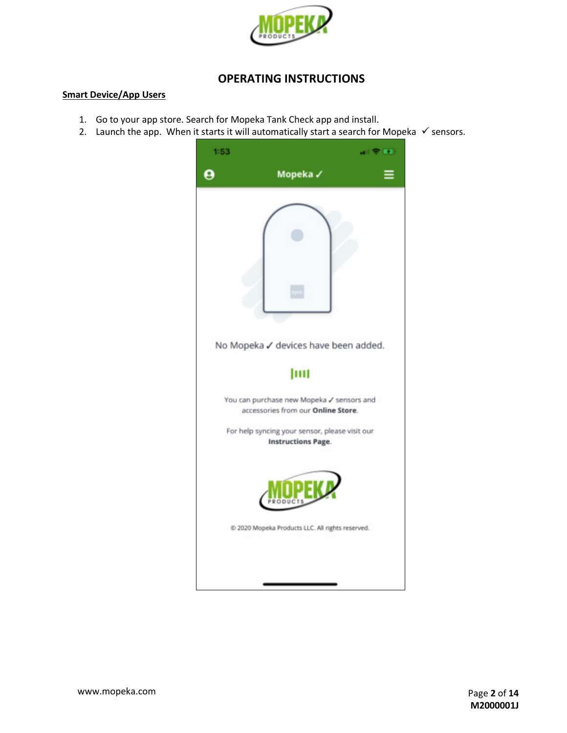

### **OPERATING INSTRUCTIONS**

#### **Smart Device/App Users**

- 1. Go to your app store. Search for Mopeka Tank Check app and install.
- 2. Launch the app. When it starts it will automatically start a search for Mopeka ✓ sensors.

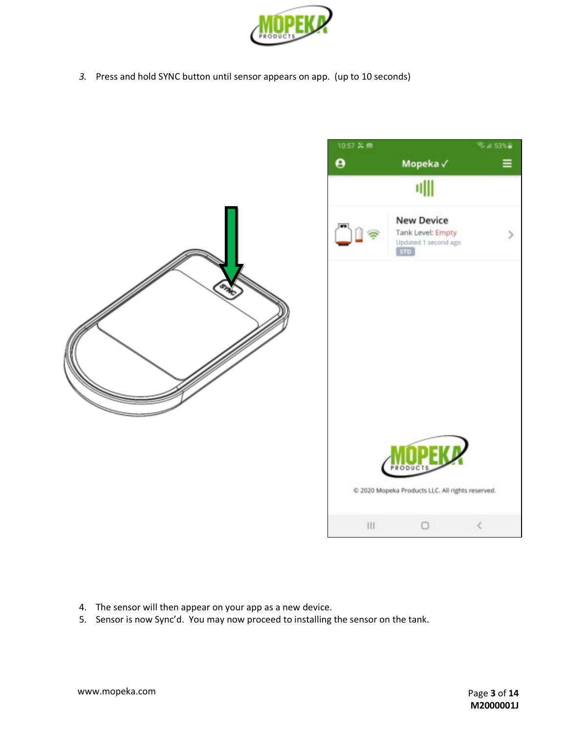

*3.* Press and hold SYNC button until sensor appears on app. (up to 10 seconds)





- 4. The sensor will then appear on your app as a new device.
- 5. Sensor is now Sync'd. You may now proceed to installing the sensor on the tank.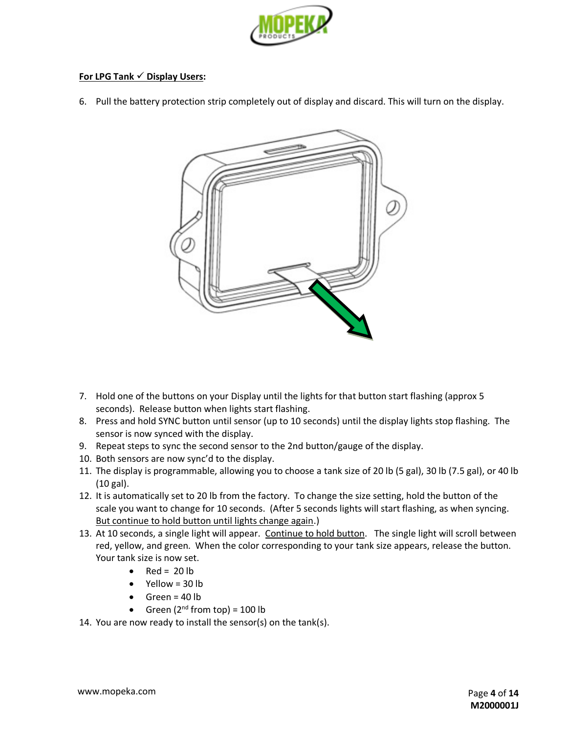

#### **For LPG Tank** ✓ **Display Users:**

6. Pull the battery protection strip completely out of display and discard. This will turn on the display.



- 7. Hold one of the buttons on your Display until the lights for that button start flashing (approx 5 seconds). Release button when lights start flashing.
- 8. Press and hold SYNC button until sensor (up to 10 seconds) until the display lights stop flashing. The sensor is now synced with the display.
- 9. Repeat steps to sync the second sensor to the 2nd button/gauge of the display.
- 10. Both sensors are now sync'd to the display.
- 11. The display is programmable, allowing you to choose a tank size of 20 lb (5 gal), 30 lb (7.5 gal), or 40 lb (10 gal).
- 12. It is automatically set to 20 lb from the factory. To change the size setting, hold the button of the scale you want to change for 10 seconds. (After 5 seconds lights will start flashing, as when syncing. But continue to hold button until lights change again.)
- 13. At 10 seconds, a single light will appear. Continue to hold button. The single light will scroll between red, yellow, and green. When the color corresponding to your tank size appears, release the button. Your tank size is now set.
	- Red =  $20 lb$
	- Yellow = 30 lb
	- $\bullet$  Green = 40 lb
	- Green  $(2^{nd}$  from top) = 100 lb
- 14. You are now ready to install the sensor(s) on the tank(s).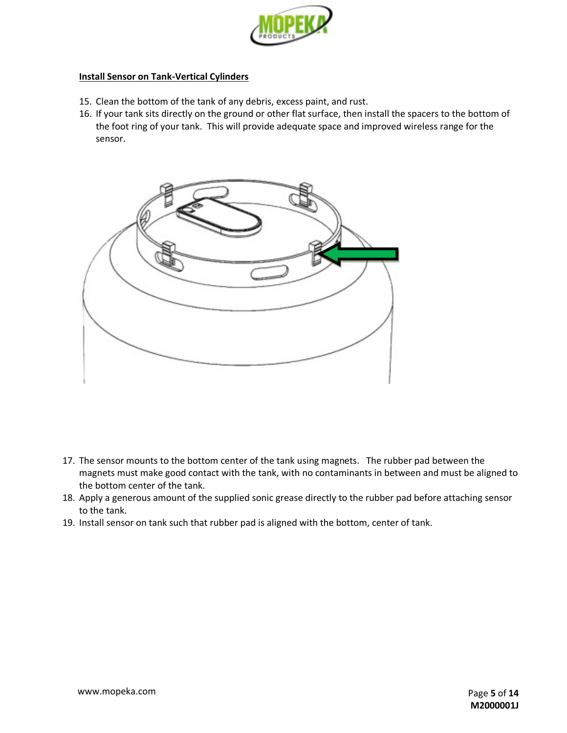

#### **Install Sensor on Tank-Vertical Cylinders**

- 15. Clean the bottom of the tank of any debris, excess paint, and rust.
- 16. If your tank sits directly on the ground or other flat surface, then install the spacers to the bottom of the foot ring of your tank. This will provide adequate space and improved wireless range for the sensor.



- 17. The sensor mounts to the bottom center of the tank using magnets. The rubber pad between the magnets must make good contact with the tank, with no contaminants in between and must be aligned to the bottom center of the tank.
- 18. Apply a generous amount of the supplied sonic grease directly to the rubber pad before attaching sensor to the tank.
- 19. Install sensor on tank such that rubber pad is aligned with the bottom, center of tank.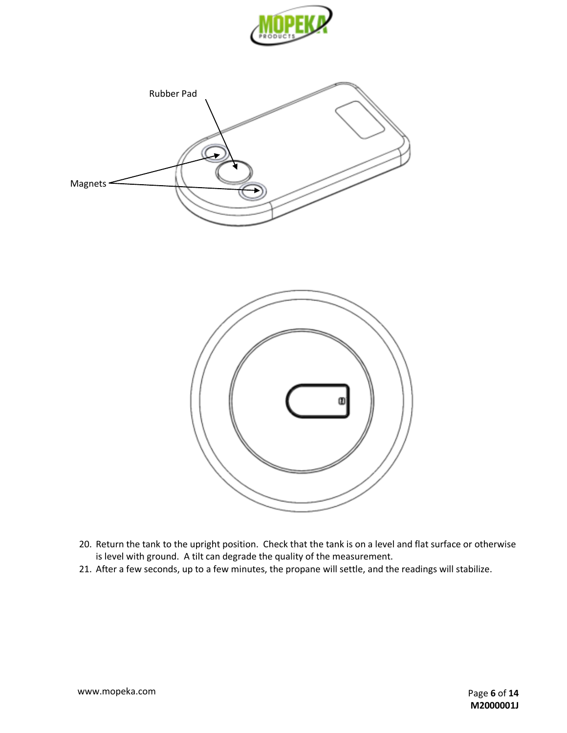





- 20. Return the tank to the upright position. Check that the tank is on a level and flat surface or otherwise is level with ground. A tilt can degrade the quality of the measurement.
- 21. After a few seconds, up to a few minutes, the propane will settle, and the readings will stabilize.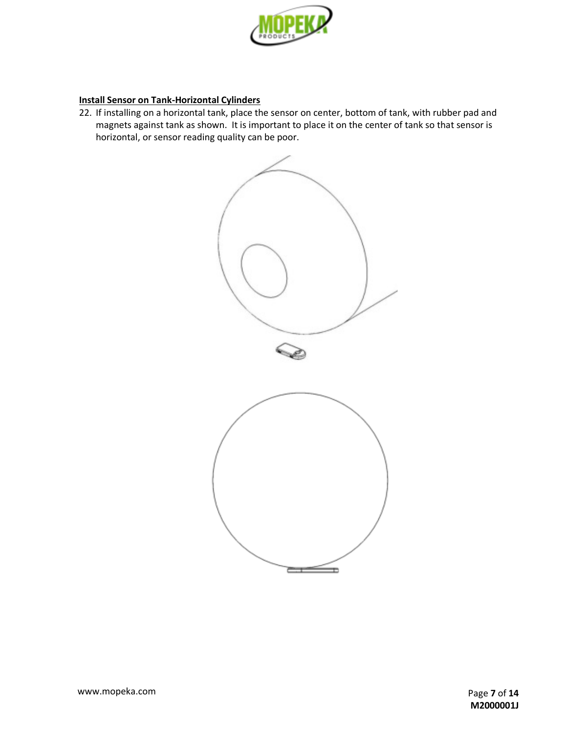

### **Install Sensor on Tank-Horizontal Cylinders**

22. If installing on a horizontal tank, place the sensor on center, bottom of tank, with rubber pad and magnets against tank as shown. It is important to place it on the center of tank so that sensor is horizontal, or sensor reading quality can be poor.

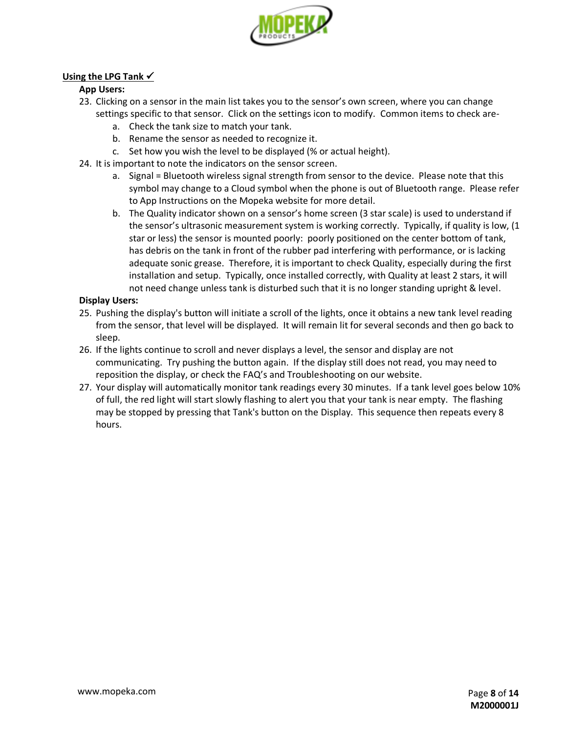

### **Using the LPG Tank** ✓

#### **App Users:**

- 23. Clicking on a sensor in the main list takes you to the sensor's own screen, where you can change settings specific to that sensor. Click on the settings icon to modify. Common items to check are
	- a. Check the tank size to match your tank.
	- b. Rename the sensor as needed to recognize it.
	- c. Set how you wish the level to be displayed (% or actual height).
- 24. It is important to note the indicators on the sensor screen.
	- a. Signal = Bluetooth wireless signal strength from sensor to the device. Please note that this symbol may change to a Cloud symbol when the phone is out of Bluetooth range. Please refer to App Instructions on the Mopeka website for more detail.
	- b. The Quality indicator shown on a sensor's home screen (3 star scale) is used to understand if the sensor's ultrasonic measurement system is working correctly. Typically, if quality is low, (1 star or less) the sensor is mounted poorly: poorly positioned on the center bottom of tank, has debris on the tank in front of the rubber pad interfering with performance, or is lacking adequate sonic grease. Therefore, it is important to check Quality, especially during the first installation and setup. Typically, once installed correctly, with Quality at least 2 stars, it will not need change unless tank is disturbed such that it is no longer standing upright & level.

#### **Display Users:**

- 25. Pushing the display's button will initiate a scroll of the lights, once it obtains a new tank level reading from the sensor, that level will be displayed. It will remain lit for several seconds and then go back to sleep.
- 26. If the lights continue to scroll and never displays a level, the sensor and display are not communicating. Try pushing the button again. If the display still does not read, you may need to reposition the display, or check the FAQ's and Troubleshooting on our website.
- 27. Your display will automatically monitor tank readings every 30 minutes. If a tank level goes below 10% of full, the red light will start slowly flashing to alert you that your tank is near empty. The flashing may be stopped by pressing that Tank's button on the Display. This sequence then repeats every 8 hours.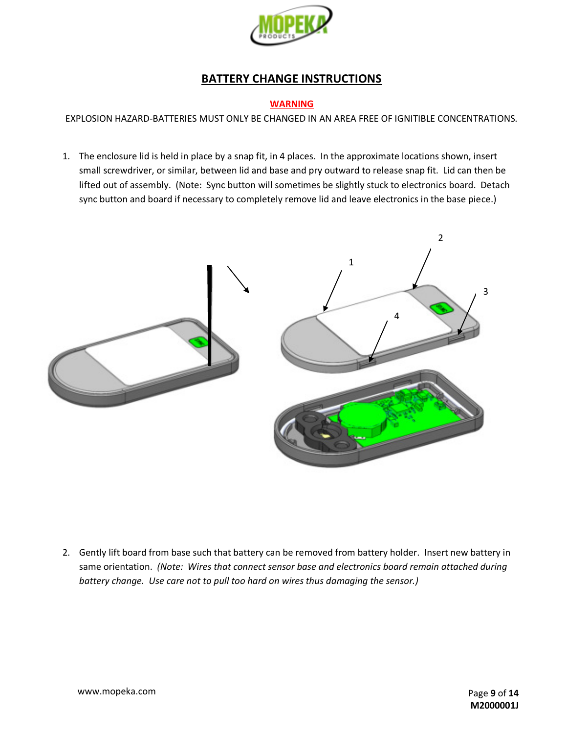

# **BATTERY CHANGE INSTRUCTIONS**

#### **WARNING**

EXPLOSION HAZARD-BATTERIES MUST ONLY BE CHANGED IN AN AREA FREE OF IGNITIBLE CONCENTRATIONS.

1. The enclosure lid is held in place by a snap fit, in 4 places. In the approximate locations shown, insert small screwdriver, or similar, between lid and base and pry outward to release snap fit. Lid can then be lifted out of assembly. (Note: Sync button will sometimes be slightly stuck to electronics board. Detach sync button and board if necessary to completely remove lid and leave electronics in the base piece.)



2. Gently lift board from base such that battery can be removed from battery holder. Insert new battery in same orientation. *(Note: Wires that connect sensor base and electronics board remain attached during battery change. Use care not to pull too hard on wires thus damaging the sensor.)*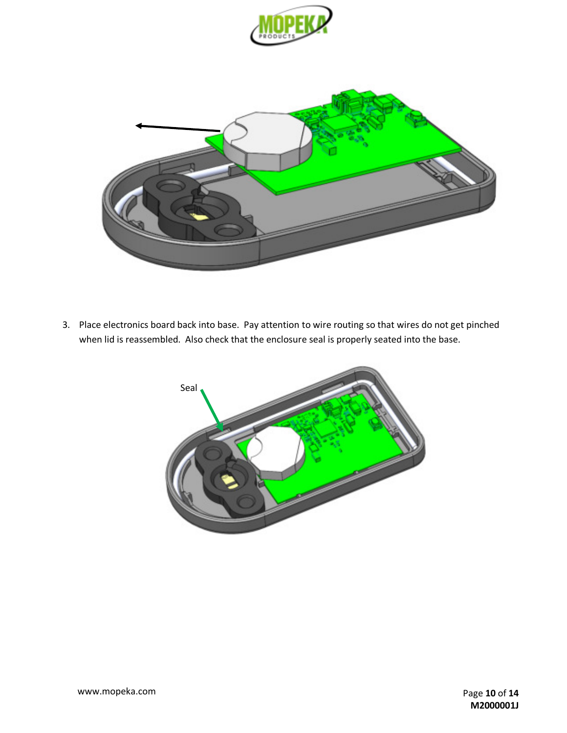



3. Place electronics board back into base. Pay attention to wire routing so that wires do not get pinched when lid is reassembled. Also check that the enclosure seal is properly seated into the base.

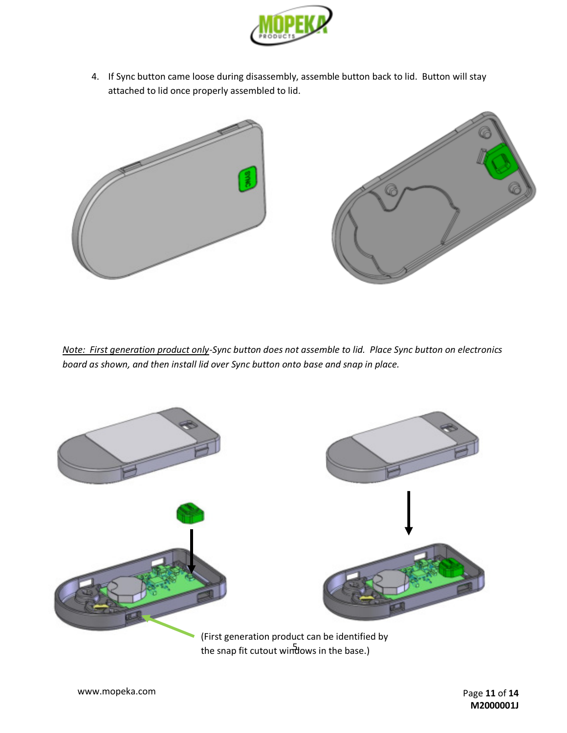

4. If Sync button came loose during disassembly, assemble button back to lid. Button will stay attached to lid once properly assembled to lid.



*Note: First generation product only-Sync button does not assemble to lid. Place Sync button on electronics board as shown, and then install lid over Sync button onto base and snap in place.*



the snap fit cutout windows in the base.)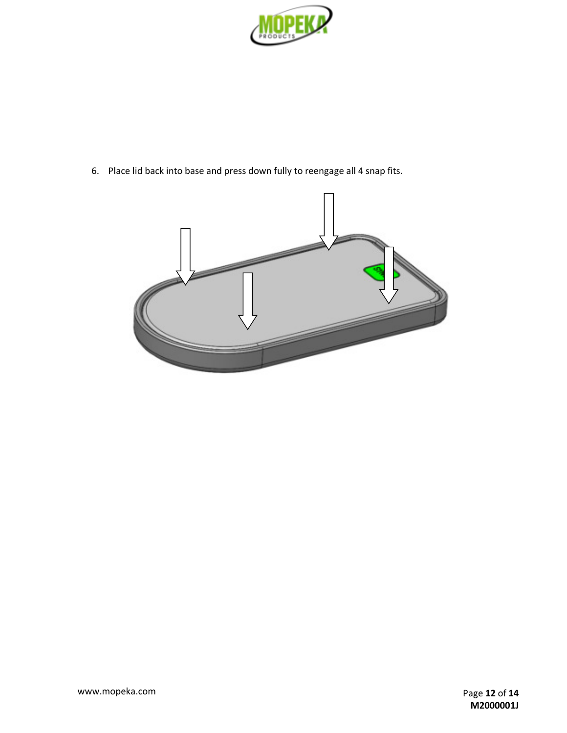

6. Place lid back into base and press down fully to reengage all 4 snap fits.

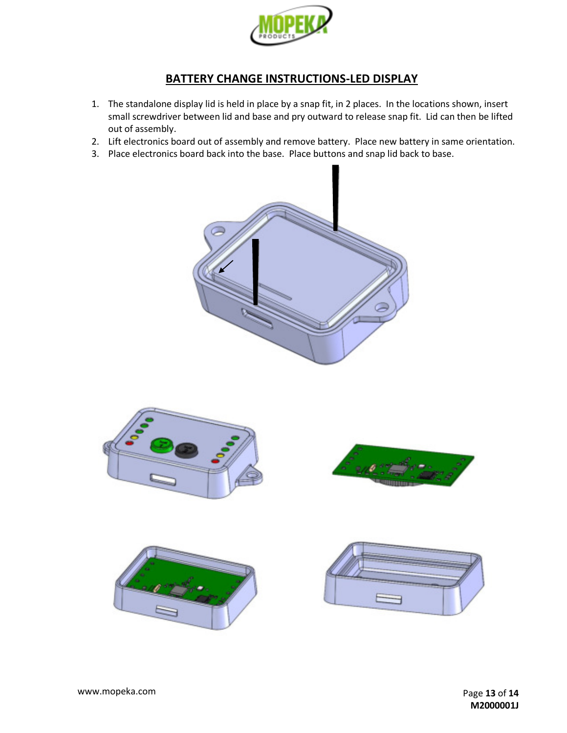

# **BATTERY CHANGE INSTRUCTIONS-LED DISPLAY**

- 1. The standalone display lid is held in place by a snap fit, in 2 places. In the locations shown, insert small screwdriver between lid and base and pry outward to release snap fit. Lid can then be lifted out of assembly.
- 2. Lift electronics board out of assembly and remove battery. Place new battery in same orientation.
- 3. Place electronics board back into the base. Place buttons and snap lid back to base.